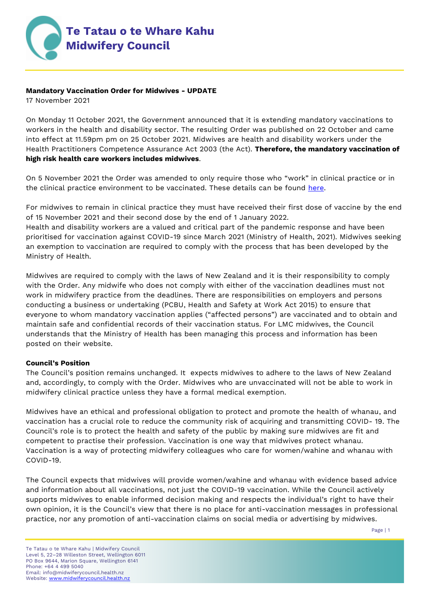

## **Mandatory Vaccination Order for Midwives - UPDATE**

17 November 2021

On Monday 11 October 2021, the Government announced that it is extending mandatory vaccinations to workers in the health and disability sector. The resulting Order was published on 22 October and came into effect at 11.59pm pm on 25 October 2021. Midwives are health and disability workers under the Health Practitioners Competence Assurance Act 2003 (the Act). **Therefore, the mandatory vaccination of high risk health care workers includes midwives**.

On 5 November 2021 the Order was amended to only require those who "work" in clinical practice or in the clinical practice environment to be vaccinated. These details can be found [here.](https://www.legislation.govt.nz/regulation/public/2021/0094/latest/LMS487853.html)

For midwives to remain in clinical practice they must have received their first dose of vaccine by the end of 15 November 2021 and their second dose by the end of 1 January 2022.

Health and disability workers are a valued and critical part of the pandemic response and have been prioritised for vaccination against COVID-19 since March 2021 (Ministry of Health, 2021). Midwives seeking an exemption to vaccination are required to comply with the process that has been developed by the Ministry of Health.

Midwives are required to comply with the laws of New Zealand and it is their responsibility to comply with the Order. Any midwife who does not comply with either of the vaccination deadlines must not work in midwifery practice from the deadlines. There are responsibilities on employers and persons conducting a business or undertaking (PCBU, Health and Safety at Work Act 2015) to ensure that everyone to whom mandatory vaccination applies ("affected persons") are vaccinated and to obtain and maintain safe and confidential records of their vaccination status. For LMC midwives, the Council understands that the Ministry of Health has been managing this process and information has been posted on their website.

### **Council's Position**

The Council's position remains unchanged. It expects midwives to adhere to the laws of New Zealand and, accordingly, to comply with the Order. Midwives who are unvaccinated will not be able to work in midwifery clinical practice unless they have a formal medical exemption.

Midwives have an ethical and professional obligation to protect and promote the health of whanau, and vaccination has a crucial role to reduce the community risk of acquiring and transmitting COVID- 19. The Council's role is to protect the health and safety of the public by making sure midwives are fit and competent to practise their profession. Vaccination is one way that midwives protect whanau. Vaccination is a way of protecting midwifery colleagues who care for women/wahine and whanau with COVID-19.

The Council expects that midwives will provide women/wahine and whanau with evidence based advice and information about all vaccinations, not just the COVID-19 vaccination. While the Council actively supports midwives to enable informed decision making and respects the individual's right to have their own opinion, it is the Council's view that there is no place for anti-vaccination messages in professional practice, nor any promotion of anti-vaccination claims on social media or advertising by midwives.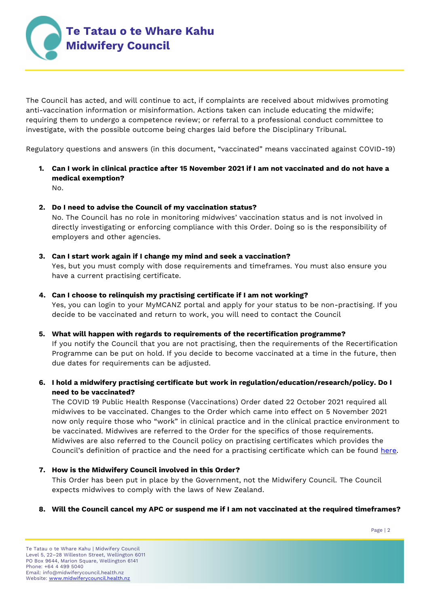

The Council has acted, and will continue to act, if complaints are received about midwives promoting anti-vaccination information or misinformation. Actions taken can include educating the midwife; requiring them to undergo a competence review; or referral to a professional conduct committee to investigate, with the possible outcome being charges laid before the Disciplinary Tribunal.

Regulatory questions and answers (in this document, "vaccinated" means vaccinated against COVID-19)

- **1. Can I work in clinical practice after 15 November 2021 if I am not vaccinated and do not have a medical exemption?** No.
- **2. Do I need to advise the Council of my vaccination status?**

No. The Council has no role in monitoring midwives' vaccination status and is not involved in directly investigating or enforcing compliance with this Order. Doing so is the responsibility of employers and other agencies.

# **3. Can I start work again if I change my mind and seek a vaccination?**

Yes, but you must comply with dose requirements and timeframes. You must also ensure you have a current practising certificate.

### **4. Can I choose to relinquish my practising certificate if I am not working?**

Yes, you can login to your MyMCANZ portal and apply for your status to be non-practising. If you decide to be vaccinated and return to work, you will need to contact the Council

### **5. What will happen with regards to requirements of the recertification programme?**

If you notify the Council that you are not practising, then the requirements of the Recertification Programme can be put on hold. If you decide to become vaccinated at a time in the future, then due dates for requirements can be adjusted.

# **6. I hold a midwifery practising certificate but work in regulation/education/research/policy. Do I need to be vaccinated?**

The COVID 19 Public Health Response (Vaccinations) Order dated 22 October 2021 required all midwives to be vaccinated. Changes to the Order which came into effect on 5 November 2021 now only require those who "work" in clinical practice and in the clinical practice environment to be vaccinated. Midwives are referred to the Order for the specifics of those requirements. Midwives are also referred to the Council policy on practising certificates which provides the Council's definition of practice and the need for a practising certificate which can be found [here.](https://www.midwiferycouncil.health.nz/common/Uploaded%20files/Policies/APC%20policy.pdf)

### **7. How is the Midwifery Council involved in this Order?**

This Order has been put in place by the Government, not the Midwifery Council. The Council expects midwives to comply with the laws of New Zealand.

### **8. Will the Council cancel my APC or suspend me if I am not vaccinated at the required timeframes?**